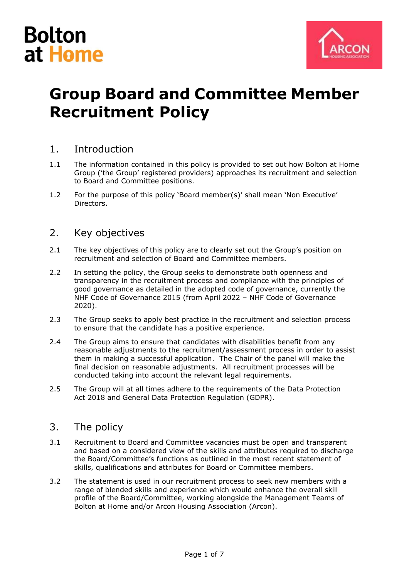



# **Group Board and Committee Member Recruitment Policy**

### 1. Introduction

- 1.1 The information contained in this policy is provided to set out how Bolton at Home Group ('the Group' registered providers) approaches its recruitment and selection to Board and Committee positions.
- 1.2 For the purpose of this policy 'Board member(s)' shall mean 'Non Executive' **Directors**

#### 2. Key objectives

- 2.1 The key objectives of this policy are to clearly set out the Group's position on recruitment and selection of Board and Committee members.
- 2.2 In setting the policy, the Group seeks to demonstrate both openness and transparency in the recruitment process and compliance with the principles of good governance as detailed in the adopted code of governance, currently the NHF Code of Governance 2015 (from April 2022 – NHF Code of Governance 2020).
- 2.3 The Group seeks to apply best practice in the recruitment and selection process to ensure that the candidate has a positive experience.
- 2.4 The Group aims to ensure that candidates with disabilities benefit from any reasonable adjustments to the recruitment/assessment process in order to assist them in making a successful application. The Chair of the panel will make the final decision on reasonable adjustments. All recruitment processes will be conducted taking into account the relevant legal requirements.
- 2.5 The Group will at all times adhere to the requirements of the Data Protection Act 2018 and General Data Protection Regulation (GDPR).

#### 3. The policy

- 3.1 Recruitment to Board and Committee vacancies must be open and transparent and based on a considered view of the skills and attributes required to discharge the Board/Committee's functions as outlined in the most recent statement of skills, qualifications and attributes for Board or Committee members.
- 3.2 The statement is used in our recruitment process to seek new members with a range of blended skills and experience which would enhance the overall skill profile of the Board/Committee, working alongside the Management Teams of Bolton at Home and/or Arcon Housing Association (Arcon).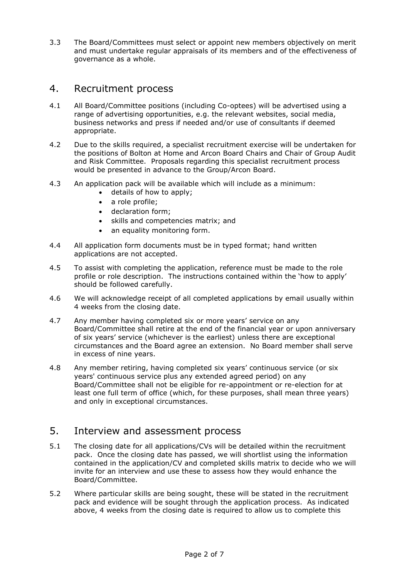3.3 The Board/Committees must select or appoint new members objectively on merit and must undertake regular appraisals of its members and of the effectiveness of governance as a whole.

#### 4. Recruitment process

- 4.1 All Board/Committee positions (including Co-optees) will be advertised using a range of advertising opportunities, e.g. the relevant websites, social media, business networks and press if needed and/or use of consultants if deemed appropriate.
- 4.2 Due to the skills required, a specialist recruitment exercise will be undertaken for the positions of Bolton at Home and Arcon Board Chairs and Chair of Group Audit and Risk Committee. Proposals regarding this specialist recruitment process would be presented in advance to the Group/Arcon Board.
- 4.3 An application pack will be available which will include as a minimum:
	- details of how to apply;
	- a role profile;
	- declaration form;
	- skills and competencies matrix; and
	- an equality monitoring form.
- 4.4 All application form documents must be in typed format; hand written applications are not accepted.
- 4.5 To assist with completing the application, reference must be made to the role profile or role description. The instructions contained within the 'how to apply' should be followed carefully.
- 4.6 We will acknowledge receipt of all completed applications by email usually within 4 weeks from the closing date.
- 4.7 Any member having completed six or more years' service on any Board/Committee shall retire at the end of the financial year or upon anniversary of six years' service (whichever is the earliest) unless there are exceptional circumstances and the Board agree an extension. No Board member shall serve in excess of nine years.
- 4.8 Any member retiring, having completed six years' continuous service (or six years' continuous service plus any extended agreed period) on any Board/Committee shall not be eligible for re-appointment or re-election for at least one full term of office (which, for these purposes, shall mean three years) and only in exceptional circumstances.

#### 5. Interview and assessment process

- 5.1 The closing date for all applications/CVs will be detailed within the recruitment pack. Once the closing date has passed, we will shortlist using the information contained in the application/CV and completed skills matrix to decide who we will invite for an interview and use these to assess how they would enhance the Board/Committee.
- 5.2 Where particular skills are being sought, these will be stated in the recruitment pack and evidence will be sought through the application process. As indicated above, 4 weeks from the closing date is required to allow us to complete this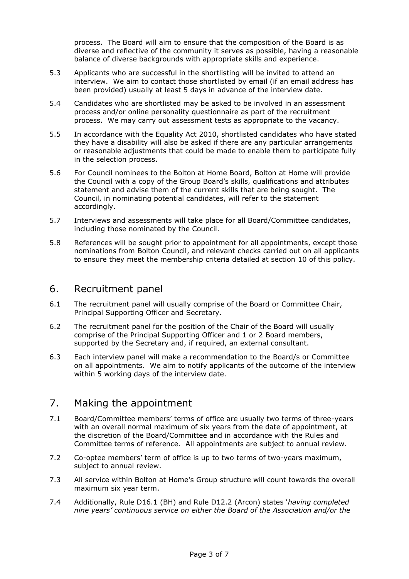process. The Board will aim to ensure that the composition of the Board is as diverse and reflective of the community it serves as possible, having a reasonable balance of diverse backgrounds with appropriate skills and experience.

- 5.3 Applicants who are successful in the shortlisting will be invited to attend an interview. We aim to contact those shortlisted by email (if an email address has been provided) usually at least 5 days in advance of the interview date.
- 5.4 Candidates who are shortlisted may be asked to be involved in an assessment process and/or online personality questionnaire as part of the recruitment process. We may carry out assessment tests as appropriate to the vacancy.
- 5.5 In accordance with the Equality Act 2010, shortlisted candidates who have stated they have a disability will also be asked if there are any particular arrangements or reasonable adjustments that could be made to enable them to participate fully in the selection process.
- 5.6 For Council nominees to the Bolton at Home Board, Bolton at Home will provide the Council with a copy of the Group Board's skills, qualifications and attributes statement and advise them of the current skills that are being sought. The Council, in nominating potential candidates, will refer to the statement accordingly.
- 5.7 Interviews and assessments will take place for all Board/Committee candidates, including those nominated by the Council.
- 5.8 References will be sought prior to appointment for all appointments, except those nominations from Bolton Council, and relevant checks carried out on all applicants to ensure they meet the membership criteria detailed at section 10 of this policy.

#### 6. Recruitment panel

- 6.1 The recruitment panel will usually comprise of the Board or Committee Chair, Principal Supporting Officer and Secretary.
- 6.2 The recruitment panel for the position of the Chair of the Board will usually comprise of the Principal Supporting Officer and 1 or 2 Board members, supported by the Secretary and, if required, an external consultant.
- 6.3 Each interview panel will make a recommendation to the Board/s or Committee on all appointments. We aim to notify applicants of the outcome of the interview within 5 working days of the interview date.

#### 7. Making the appointment

- 7.1 Board/Committee members' terms of office are usually two terms of three-years with an overall normal maximum of six years from the date of appointment, at the discretion of the Board/Committee and in accordance with the Rules and Committee terms of reference. All appointments are subject to annual review.
- 7.2 Co-optee members' term of office is up to two terms of two-years maximum, subject to annual review.
- 7.3 All service within Bolton at Home's Group structure will count towards the overall maximum six year term.
- 7.4 Additionally, Rule D16.1 (BH) and Rule D12.2 (Arcon) states '*having completed nine years' continuous service on either the Board of the Association and/or the*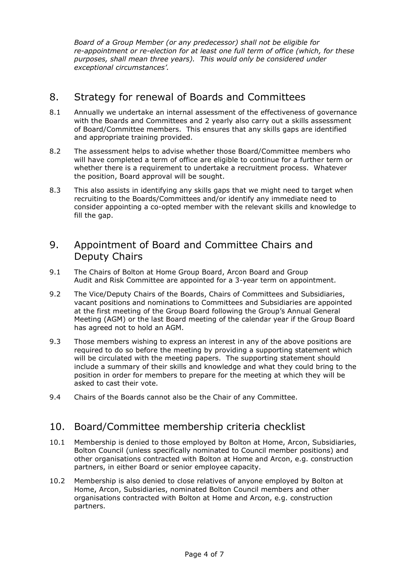*Board of a Group Member (or any predecessor) shall not be eligible for re-appointment or re-election for at least one full term of office (which, for these purposes, shall mean three years). This would only be considered under exceptional circumstances'.*

# 8. Strategy for renewal of Boards and Committees

- 8.1 Annually we undertake an internal assessment of the effectiveness of governance with the Boards and Committees and 2 yearly also carry out a skills assessment of Board/Committee members. This ensures that any skills gaps are identified and appropriate training provided.
- 8.2 The assessment helps to advise whether those Board/Committee members who will have completed a term of office are eligible to continue for a further term or whether there is a requirement to undertake a recruitment process. Whatever the position, Board approval will be sought.
- 8.3 This also assists in identifying any skills gaps that we might need to target when recruiting to the Boards/Committees and/or identify any immediate need to consider appointing a co-opted member with the relevant skills and knowledge to fill the gap.

# 9. Appointment of Board and Committee Chairs and Deputy Chairs

- 9.1 The Chairs of Bolton at Home Group Board, Arcon Board and Group Audit and Risk Committee are appointed for a 3-year term on appointment.
- 9.2 The Vice/Deputy Chairs of the Boards, Chairs of Committees and Subsidiaries, vacant positions and nominations to Committees and Subsidiaries are appointed at the first meeting of the Group Board following the Group's Annual General Meeting (AGM) or the last Board meeting of the calendar year if the Group Board has agreed not to hold an AGM.
- 9.3 Those members wishing to express an interest in any of the above positions are required to do so before the meeting by providing a supporting statement which will be circulated with the meeting papers. The supporting statement should include a summary of their skills and knowledge and what they could bring to the position in order for members to prepare for the meeting at which they will be asked to cast their vote.
- 9.4 Chairs of the Boards cannot also be the Chair of any Committee.

# 10. Board/Committee membership criteria checklist

- 10.1 Membership is denied to those employed by Bolton at Home, Arcon, Subsidiaries, Bolton Council (unless specifically nominated to Council member positions) and other organisations contracted with Bolton at Home and Arcon, e.g. construction partners, in either Board or senior employee capacity.
- 10.2 Membership is also denied to close relatives of anyone employed by Bolton at Home, Arcon, Subsidiaries, nominated Bolton Council members and other organisations contracted with Bolton at Home and Arcon, e.g. construction partners.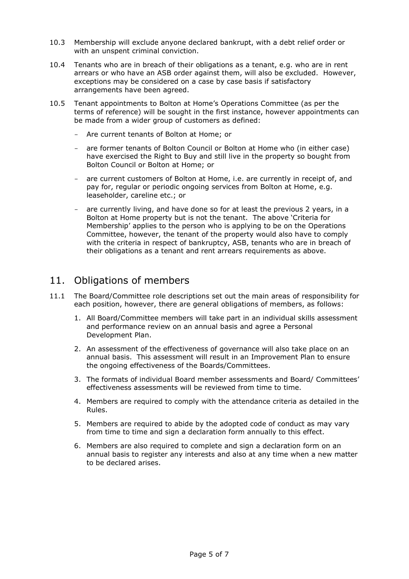- 10.3 Membership will exclude anyone declared bankrupt, with a debt relief order or with an unspent criminal conviction.
- 10.4 Tenants who are in breach of their obligations as a tenant, e.g. who are in rent arrears or who have an ASB order against them, will also be excluded. However, exceptions may be considered on a case by case basis if satisfactory arrangements have been agreed.
- 10.5 Tenant appointments to Bolton at Home's Operations Committee (as per the terms of reference) will be sought in the first instance, however appointments can be made from a wider group of customers as defined:
	- Are current tenants of Bolton at Home; or
	- are former tenants of Bolton Council or Bolton at Home who (in either case) have exercised the Right to Buy and still live in the property so bought from Bolton Council or Bolton at Home; or
	- are current customers of Bolton at Home, i.e. are currently in receipt of, and pay for, regular or periodic ongoing services from Bolton at Home, e.g. leaseholder, careline etc.; or
	- are currently living, and have done so for at least the previous 2 years, in a Bolton at Home property but is not the tenant. The above 'Criteria for Membership' applies to the person who is applying to be on the Operations Committee, however, the tenant of the property would also have to comply with the criteria in respect of bankruptcy, ASB, tenants who are in breach of their obligations as a tenant and rent arrears requirements as above.

# 11. Obligations of members

- 11.1 The Board/Committee role descriptions set out the main areas of responsibility for each position, however, there are general obligations of members, as follows:
	- 1. All Board/Committee members will take part in an individual skills assessment and performance review on an annual basis and agree a Personal Development Plan.
	- 2. An assessment of the effectiveness of governance will also take place on an annual basis. This assessment will result in an Improvement Plan to ensure the ongoing effectiveness of the Boards/Committees.
	- 3. The formats of individual Board member assessments and Board/ Committees' effectiveness assessments will be reviewed from time to time.
	- 4. Members are required to comply with the attendance criteria as detailed in the Rules.
	- 5. Members are required to abide by the adopted code of conduct as may vary from time to time and sign a declaration form annually to this effect.
	- 6. Members are also required to complete and sign a declaration form on an annual basis to register any interests and also at any time when a new matter to be declared arises.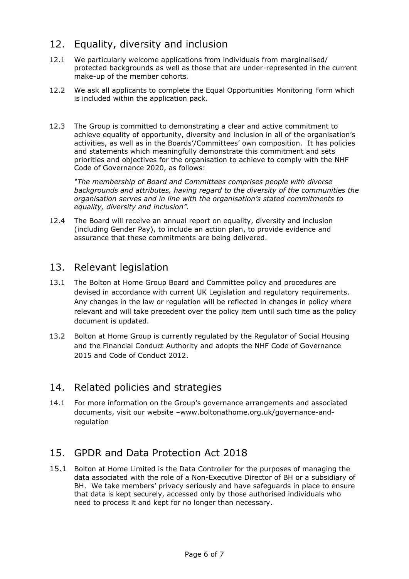# 12. Equality, diversity and inclusion

- 12.1 We particularly welcome applications from individuals from marginalised/ protected backgrounds as well as those that are under-represented in the current make-up of the member cohorts.
- 12.2 We ask all applicants to complete the Equal Opportunities Monitoring Form which is included within the application pack.
- 12.3 The Group is committed to demonstrating a clear and active commitment to achieve equality of opportunity, diversity and inclusion in all of the organisation's activities, as well as in the Boards'/Committees' own composition. It has policies and statements which meaningfully demonstrate this commitment and sets priorities and objectives for the organisation to achieve to comply with the NHF Code of Governance 2020, as follows:

*"The membership of Board and Committees comprises people with diverse backgrounds and attributes, having regard to the diversity of the communities the organisation serves and in line with the organisation's stated commitments to equality, diversity and inclusion".*

12.4 The Board will receive an annual report on equality, diversity and inclusion (including Gender Pay), to include an action plan, to provide evidence and assurance that these commitments are being delivered.

### 13. Relevant legislation

- 13.1 The Bolton at Home Group Board and Committee policy and procedures are devised in accordance with current UK Legislation and regulatory requirements. Any changes in the law or regulation will be reflected in changes in policy where relevant and will take precedent over the policy item until such time as the policy document is updated.
- 13.2 Bolton at Home Group is currently regulated by the Regulator of Social Housing and the Financial Conduct Authority and adopts the NHF Code of Governance 2015 and Code of Conduct 2012.

#### 14. Related policies and strategies

14.1 For more information on the Group's governance arrangements and associated documents, visit our website –www.boltonathome.org.uk/governance-andregulation

# 15. GPDR and Data Protection Act 2018

15.1 Bolton at Home Limited is the Data Controller for the purposes of managing the data associated with the role of a Non-Executive Director of BH or a subsidiary of BH. We take members' privacy seriously and have safeguards in place to ensure that data is kept securely, accessed only by those authorised individuals who need to process it and kept for no longer than necessary.